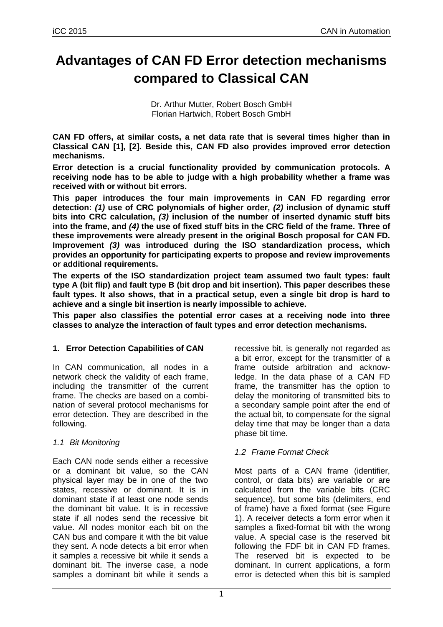# **Advantages of CAN FD Error detection mechanisms compared to Classical CAN**

Dr. Arthur Mutter, Robert Bosch GmbH Florian Hartwich, Robert Bosch GmbH

**CAN FD offers, at similar costs, a net data rate that is several times higher than in Classical CAN [1], [2]. Beside this, CAN FD also provides improved error detection mechanisms.**

**Error detection is a crucial functionality provided by communication protocols. A receiving node has to be able to judge with a high probability whether a frame was received with or without bit errors.**

**This paper introduces the four main improvements in CAN FD regarding error detection:** *(1)* **use of CRC polynomials of higher order,** *(2)* **inclusion of dynamic stuff bits into CRC calculation,** *(3)* **inclusion of the number of inserted dynamic stuff bits into the frame, and** *(4)* **the use of fixed stuff bits in the CRC field of the frame. Three of these improvements were already present in the original Bosch proposal for CAN FD. Improvement** *(3)* **was introduced during the ISO standardization process, which provides an opportunity for participating experts to propose and review improvements or additional requirements.**

**The experts of the ISO standardization project team assumed two fault types: fault type A (bit flip) and fault type B (bit drop and bit insertion). This paper describes these fault types. It also shows, that in a practical setup, even a single bit drop is hard to achieve and a single bit insertion is nearly impossible to achieve.**

**This paper also classifies the potential error cases at a receiving node into three classes to analyze the interaction of fault types and error detection mechanisms.**

#### **1. Error Detection Capabilities of CAN**

In CAN communication, all nodes in a network check the validity of each frame, including the transmitter of the current frame. The checks are based on a combination of several protocol mechanisms for error detection. They are described in the following.

## *1.1 Bit Monitoring*

Each CAN node sends either a recessive or a dominant bit value, so the CAN physical layer may be in one of the two states, recessive or dominant. It is in dominant state if at least one node sends the dominant bit value. It is in recessive state if all nodes send the recessive bit value. All nodes monitor each bit on the CAN bus and compare it with the bit value they sent. A node detects a bit error when it samples a recessive bit while it sends a dominant bit. The inverse case, a node samples a dominant bit while it sends a

recessive bit, is generally not regarded as a bit error, except for the transmitter of a frame outside arbitration and acknowledge. In the data phase of a CAN FD frame, the transmitter has the option to delay the monitoring of transmitted bits to a secondary sample point after the end of the actual bit, to compensate for the signal delay time that may be longer than a data phase bit time.

## *1.2 Frame Format Check*

Most parts of a CAN frame (identifier, control, or data bits) are variable or are calculated from the variable bits (CRC sequence), but some bits (delimiters, end of frame) have a fixed format (see [Figure](#page-1-0)  [1\)](#page-1-0). A receiver detects a form error when it samples a fixed-format bit with the wrong value. A special case is the reserved bit following the FDF bit in CAN FD frames. The reserved bit is expected to be dominant. In current applications, a form error is detected when this bit is sampled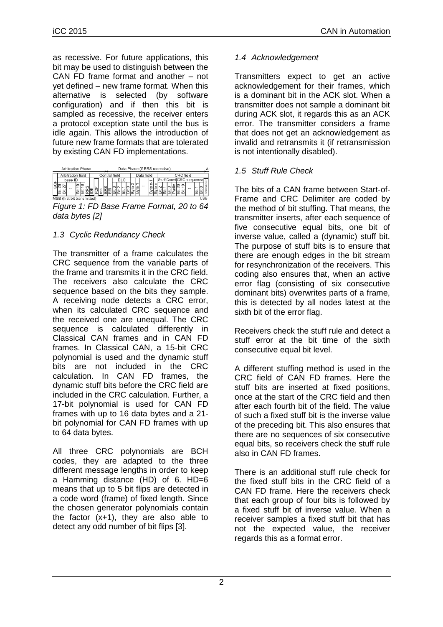as recessive. For future applications, this bit may be used to distinguish between the CAN FD frame format and another – not yet defined – new frame format. When this alternative is selected (by software configuration) and if then this bit is sampled as recessive, the receiver enters a protocol exception state until the bus is idle again. This allows the introduction of future new frame formats that are tolerated by existing CAN FD implementations.

|    |   | Arbitration Phase           |       |  |  |  |               |  |     |  | Data Phase (if BRS recessive) |    |  |        |  |                           |    |      |  |
|----|---|-----------------------------|-------|--|--|--|---------------|--|-----|--|-------------------------------|----|--|--------|--|---------------------------|----|------|--|
|    |   | Arbitration field           |       |  |  |  | Control field |  |     |  | Data field                    |    |  |        |  | CRC field                 |    |      |  |
| ١ц |   | base ID                     |       |  |  |  |               |  | DLC |  |                               | le |  |        |  | Stuff Count CRC sequence! |    |      |  |
|    |   | $\sim$                      | lတ lထ |  |  |  |               |  |     |  | <b>ALC A</b>                  | c  |  |        |  | $\cdots$                  |    |      |  |
|    | 삝 |                             |       |  |  |  |               |  | löö |  |                               |    |  | غاھاھا |  |                           | lā | 崗    |  |
|    |   | MSR (firet hit tranemitted) |       |  |  |  |               |  |     |  |                               |    |  |        |  |                           |    | I SB |  |

<span id="page-1-0"></span>*Figure 1: FD Base Frame Format, 20 to 64 data bytes [2]*

# *1.3 Cyclic Redundancy Check*

The transmitter of a frame calculates the CRC sequence from the variable parts of the frame and transmits it in the CRC field. The receivers also calculate the CRC sequence based on the bits they sample. A receiving node detects a CRC error, when its calculated CRC sequence and the received one are unequal. The CRC sequence is calculated differently in Classical CAN frames and in CAN FD frames. In Classical CAN, a 15-bit CRC polynomial is used and the dynamic stuff bits are not included in the CRC calculation. In CAN FD frames, the dynamic stuff bits before the CRC field are included in the CRC calculation. Further, a 17-bit polynomial is used for CAN FD frames with up to 16 data bytes and a 21 bit polynomial for CAN FD frames with up to 64 data bytes.

All three CRC polynomials are BCH codes, they are adapted to the three different message lengths in order to keep a Hamming distance (HD) of 6. HD=6 means that up to 5 bit flips are detected in a code word (frame) of fixed length. Since the chosen generator polynomials contain the factor (x+1), they are also able to detect any odd number of bit flips [3].

## *1.4 Acknowledgement*

Transmitters expect to get an active acknowledgement for their frames, which is a dominant bit in the ACK slot. When a transmitter does not sample a dominant bit during ACK slot, it regards this as an ACK error. The transmitter considers a frame that does not get an acknowledgement as invalid and retransmits it (if retransmission is not intentionally disabled).

## *1.5 Stuff Rule Check*

The bits of a CAN frame between Start-of-Frame and CRC Delimiter are coded by the method of bit stuffing. That means, the transmitter inserts, after each sequence of five consecutive equal bits, one bit of inverse value, called a (dynamic) stuff bit. The purpose of stuff bits is to ensure that there are enough edges in the bit stream for resynchronization of the receivers. This coding also ensures that, when an active error flag (consisting of six consecutive dominant bits) overwrites parts of a frame, this is detected by all nodes latest at the sixth bit of the error flag.

Receivers check the stuff rule and detect a stuff error at the bit time of the sixth consecutive equal bit level.

A different stuffing method is used in the CRC field of CAN FD frames. Here the stuff bits are inserted at fixed positions, once at the start of the CRC field and then after each fourth bit of the field. The value of such a fixed stuff bit is the inverse value of the preceding bit. This also ensures that there are no sequences of six consecutive equal bits, so receivers check the stuff rule also in CAN FD frames.

There is an additional stuff rule check for the fixed stuff bits in the CRC field of a CAN FD frame. Here the receivers check that each group of four bits is followed by a fixed stuff bit of inverse value. When a receiver samples a fixed stuff bit that has not the expected value, the receiver regards this as a format error.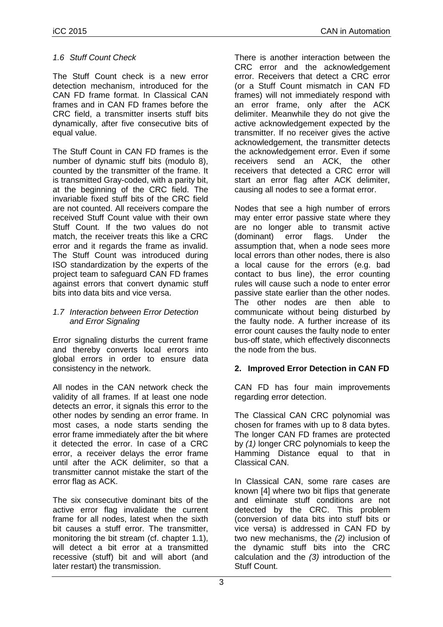### *1.6 Stuff Count Check*

The Stuff Count check is a new error detection mechanism, introduced for the CAN FD frame format. In Classical CAN frames and in CAN FD frames before the CRC field, a transmitter inserts stuff bits dynamically, after five consecutive bits of equal value.

The Stuff Count in CAN FD frames is the number of dynamic stuff bits (modulo 8), counted by the transmitter of the frame. It is transmitted Gray-coded, with a parity bit, at the beginning of the CRC field. The invariable fixed stuff bits of the CRC field are not counted. All receivers compare the received Stuff Count value with their own Stuff Count. If the two values do not match, the receiver treats this like a CRC error and it regards the frame as invalid. The Stuff Count was introduced during ISO standardization by the experts of the project team to safeguard CAN FD frames against errors that convert dynamic stuff bits into data bits and vice versa.

#### *1.7 Interaction between Error Detection and Error Signaling*

Error signaling disturbs the current frame and thereby converts local errors into global errors in order to ensure data consistency in the network.

All nodes in the CAN network check the validity of all frames. If at least one node detects an error, it signals this error to the other nodes by sending an error frame. In most cases, a node starts sending the error frame immediately after the bit where it detected the error. In case of a CRC error, a receiver delays the error frame until after the ACK delimiter, so that a transmitter cannot mistake the start of the error flag as ACK.

The six consecutive dominant bits of the active error flag invalidate the current frame for all nodes, latest when the sixth bit causes a stuff error. The transmitter, monitoring the bit stream (cf. chapter 1.1), will detect a bit error at a transmitted recessive (stuff) bit and will abort (and later restart) the transmission.

There is another interaction between the CRC error and the acknowledgement error. Receivers that detect a CRC error (or a Stuff Count mismatch in CAN FD frames) will not immediately respond with an error frame, only after the ACK delimiter. Meanwhile they do not give the active acknowledgement expected by the transmitter. If no receiver gives the active acknowledgement, the transmitter detects the acknowledgement error. Even if some receivers send an ACK, the other receivers that detected a CRC error will start an error flag after ACK delimiter, causing all nodes to see a format error.

Nodes that see a high number of errors may enter error passive state where they are no longer able to transmit active (dominant) error flags. Under the assumption that, when a node sees more local errors than other nodes, there is also a local cause for the errors (e.g. bad contact to bus line), the error counting rules will cause such a node to enter error passive state earlier than the other nodes. The other nodes are then able to communicate without being disturbed by the faulty node. A further increase of its error count causes the faulty node to enter bus-off state, which effectively disconnects the node from the bus.

## **2. Improved Error Detection in CAN FD**

CAN FD has four main improvements regarding error detection.

The Classical CAN CRC polynomial was chosen for frames with up to 8 data bytes. The longer CAN FD frames are protected by *(1)* longer CRC polynomials to keep the Hamming Distance equal to that in Classical CAN.

In Classical CAN, some rare cases are known [4] where two bit flips that generate and eliminate stuff conditions are not detected by the CRC. This problem (conversion of data bits into stuff bits or vice versa) is addressed in CAN FD by two new mechanisms, the *(2)* inclusion of the dynamic stuff bits into the CRC calculation and the *(3)* introduction of the Stuff Count.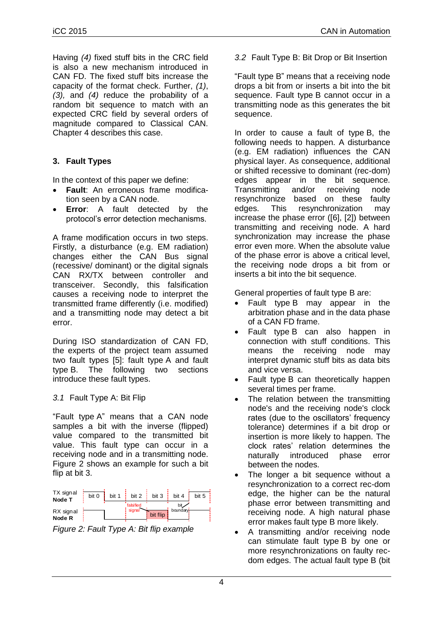Having *(4)* fixed stuff bits in the CRC field is also a new mechanism introduced in CAN FD. The fixed stuff bits increase the capacity of the format check. Further, *(1)*, *(3),* and *(4)* reduce the probability of a random bit sequence to match with an expected CRC field by several orders of magnitude compared to Classical CAN. Chapter [4](#page-5-0) describes this case.

## **3. Fault Types**

In the context of this paper we define:

- **Fault**: An erroneous frame modification seen by a CAN node.
- **Error**: A fault detected by the protocol's error detection mechanisms.

A frame modification occurs in two steps. Firstly, a disturbance (e.g. EM radiation) changes either the CAN Bus signal (recessive/ dominant) or the digital signals CAN RX/TX between controller and transceiver. Secondly, this falsification causes a receiving node to interpret the transmitted frame differently (i.e. modified) and a transmitting node may detect a bit error.

During ISO standardization of CAN FD, the experts of the project team assumed two fault types [5]: fault type A and fault type B. The following two sections introduce these fault types.

## *3.1* Fault Type A: Bit Flip

"Fault type A" means that a CAN node samples a bit with the inverse (flipped) value compared to the transmitted bit value. This fault type can occur in a receiving node and in a transmitting node. [Figure 2](#page-3-0) shows an example for such a bit flip at bit 3.

| TX signal<br>Node T | bit 0 | hit 1 | bit 2               | bit $3 \cdot$ | bit 4            | bit 5 |
|---------------------|-------|-------|---------------------|---------------|------------------|-------|
| RX signal           |       |       | falsified<br>signal | bit flip      | bit.<br>boundary |       |
| Node R              |       |       |                     |               |                  |       |

<span id="page-3-0"></span>*Figure 2: Fault Type A: Bit flip example*

*3.2* Fault Type B: Bit Drop or Bit Insertion

"Fault type B" means that a receiving node drops a bit from or inserts a bit into the bit sequence. Fault type B cannot occur in a transmitting node as this generates the bit sequence.

In order to cause a fault of type B, the following needs to happen. A disturbance (e.g. EM radiation) influences the CAN physical layer. As consequence, additional or shifted recessive to dominant (rec-dom) edges appear in the bit sequence. Transmitting and/or receiving node resynchronize based on these faulty edges. This resynchronization may increase the phase error ([6], [2]) between transmitting and receiving node. A hard synchronization may increase the phase error even more. When the absolute value of the phase error is above a critical level, the receiving node drops a bit from or inserts a bit into the bit sequence.

General properties of fault type B are:

- Fault type B may appear in the arbitration phase and in the data phase of a CAN FD frame.
- Fault type B can also happen in connection with stuff conditions. This means the receiving node may interpret dynamic stuff bits as data bits and vice versa.
- Fault type B can theoretically happen several times per frame.
- The relation between the transmitting node's and the receiving node's clock rates (due to the oscillators' frequency tolerance) determines if a bit drop or insertion is more likely to happen. The clock rates' relation determines the naturally introduced phase error between the nodes.
- The longer a bit sequence without a resynchronization to a correct rec-dom edge, the higher can be the natural phase error between transmitting and receiving node. A high natural phase error makes fault type B more likely.
- A transmitting and/or receiving node can stimulate fault type B by one or more resynchronizations on faulty recdom edges. The actual fault type B (bit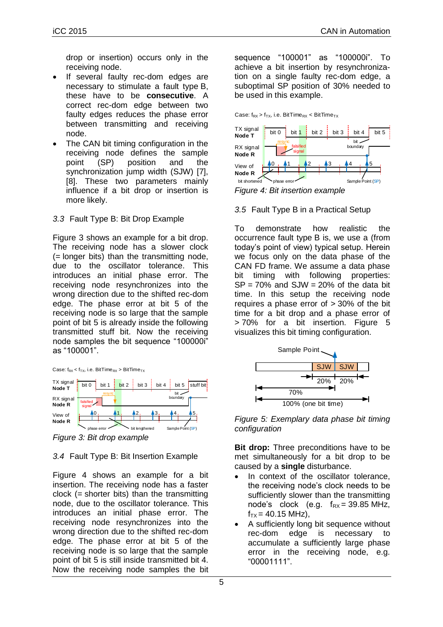drop or insertion) occurs only in the receiving node.

- If several faulty rec-dom edges are necessary to stimulate a fault type B, these have to be **consecutive**. A correct rec-dom edge between two faulty edges reduces the phase error between transmitting and receiving node.
- The CAN bit timing configuration in the receiving node defines the sample point (SP) position and the synchronization jump width (SJW) [7], [8]. These two parameters mainly influence if a bit drop or insertion is more likely.

#### *3.3* Fault Type B: Bit Drop Example

[Figure 3](#page-4-0) shows an example for a bit drop. The receiving node has a slower clock (= longer bits) than the transmitting node, due to the oscillator tolerance. This introduces an initial phase error. The receiving node resynchronizes into the wrong direction due to the shifted rec-dom edge. The phase error at bit 5 of the receiving node is so large that the sample point of bit 5 is already inside the following transmitted stuff bit. Now the receiving node samples the bit sequence "100000i" as "100001".





<span id="page-4-0"></span>*Figure 3: Bit drop example*

## *3.4* Fault Type B: Bit Insertion Example

[Figure 4](#page-4-1) shows an example for a bit insertion. The receiving node has a faster clock  $(=$  shorter bits) than the transmitting node, due to the oscillator tolerance. This introduces an initial phase error. The receiving node resynchronizes into the wrong direction due to the shifted rec-dom edge. The phase error at bit 5 of the receiving node is so large that the sample point of bit 5 is still inside transmitted bit 4. Now the receiving node samples the bit sequence "100001" as "100000i". To achieve a bit insertion by resynchronization on a single faulty rec-dom edge, a suboptimal SP position of 30% needed to be used in this example.

Case:  $f_{RX}$  >  $f_{TX}$ , i.e. BitTime<sub>RX</sub> < BitTime<sub>TX</sub>



<span id="page-4-1"></span>*Figure 4: Bit insertion example*

*3.5* Fault Type B in a Practical Setup

To demonstrate how realistic the occurrence fault type B is, we use a (from today's point of view) typical setup. Herein we focus only on the data phase of the CAN FD frame. We assume a data phase bit timing with following properties:  $SP = 70\%$  and  $SJW = 20\%$  of the data bit time. In this setup the receiving node requires a phase error of > 30% of the bit time for a bit drop and a phase error of > 70% for a bit insertion. [Figure 5](#page-4-2) visualizes this bit timing configuration.



<span id="page-4-2"></span>*Figure 5: Exemplary data phase bit timing configuration*

**Bit drop:** Three preconditions have to be met simultaneously for a bit drop to be caused by a **single** disturbance.

- In context of the oscillator tolerance, the receiving node's clock needs to be sufficiently slower than the transmitting node's clock (e.g.  $f_{RX} = 39.85 \text{ MHz}$ ,  $f_{TX} = 40.15$  MHz),
- A sufficiently long bit sequence without rec-dom edge is necessary to accumulate a sufficiently large phase error in the receiving node, e.g. "00001111".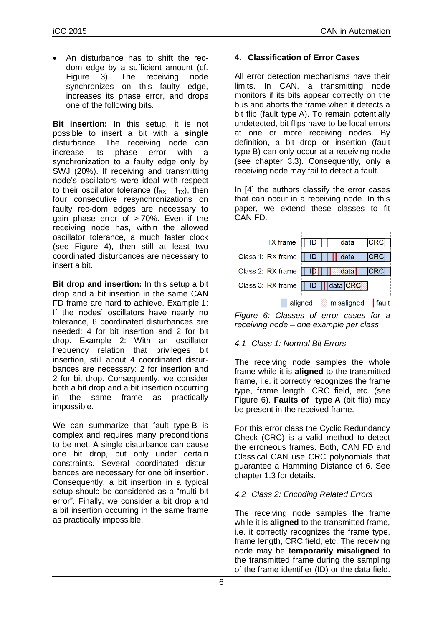An disturbance has to shift the recdom edge by a sufficient amount (cf. [Figure 3\)](#page-4-0). The receiving node synchronizes on this faulty edge, increases its phase error, and drops one of the following bits.

**Bit insertion:** In this setup, it is not possible to insert a bit with a **single** disturbance. The receiving node can increase its phase error with a synchronization to a faulty edge only by SWJ (20%). If receiving and transmitting node's oscillators were ideal with respect to their oscillator tolerance  $(f_{RX} = f_{TX})$ , then four consecutive resynchronizations on faulty rec-dom edges are necessary to gain phase error of > 70%. Even if the receiving node has, within the allowed oscillator tolerance, a much faster clock (see [Figure 4\)](#page-4-1), then still at least two coordinated disturbances are necessary to insert a bit.

**Bit drop and insertion:** In this setup a bit drop and a bit insertion in the same CAN FD frame are hard to achieve. Example 1: If the nodes' oscillators have nearly no tolerance, 6 coordinated disturbances are needed: 4 for bit insertion and 2 for bit drop. Example 2: With an oscillator frequency relation that privileges bit insertion, still about 4 coordinated disturbances are necessary: 2 for insertion and 2 for bit drop. Consequently, we consider both a bit drop and a bit insertion occurring in the same frame as practically impossible.

We can summarize that fault type B is complex and requires many preconditions to be met. A single disturbance can cause one bit drop, but only under certain constraints. Several coordinated disturbances are necessary for one bit insertion. Consequently, a bit insertion in a typical setup should be considered as a "multi bit error". Finally, we consider a bit drop and a bit insertion occurring in the same frame as practically impossible.

## <span id="page-5-0"></span>**4. Classification of Error Cases**

All error detection mechanisms have their limits. In CAN, a transmitting node monitors if its bits appear correctly on the bus and aborts the frame when it detects a bit flip (fault type A). To remain potentially undetected, bit flips have to be local errors at one or more receiving nodes. By definition, a bit drop or insertion (fault type B) can only occur at a receiving node (see chapter 3.3). Consequently, only a receiving node may fail to detect a fault.

In [4] the authors classify the error cases that can occur in a receiving node. In this paper, we extend these classes to fit CAN FD.

| $TX$ frame $  $ ID                                           |  | data | <b>CRC</b> |
|--------------------------------------------------------------|--|------|------------|
| Class 1: RX frame $  $ ID $  $ $  $ data                     |  |      | <b>CRC</b> |
| Class 2: RX frame $   \cdot   \mathbf{D}      \cdot   $ data |  |      | <b>CRC</b> |
| Class 3: RX frame    ID    data CRC                          |  |      |            |

aligned misaligned fault

<span id="page-5-1"></span>*Figure 6: Classes of error cases for a receiving node – one example per class*

#### *4.1 Class 1: Normal Bit Errors*

The receiving node samples the whole frame while it is **aligned** to the transmitted frame, i.e. it correctly recognizes the frame type, frame length, CRC field, etc. (see [Figure 6\)](#page-5-1). **Faults of type A** (bit flip) may be present in the received frame.

For this error class the Cyclic Redundancy Check (CRC) is a valid method to detect the erroneous frames. Both, CAN FD and Classical CAN use CRC polynomials that guarantee a Hamming Distance of 6. See chapter 1.3 for details.

#### *4.2 Class 2: Encoding Related Errors*

The receiving node samples the frame while it is **aligned** to the transmitted frame, i.e. it correctly recognizes the frame type, frame length, CRC field, etc. The receiving node may be **temporarily misaligned** to the transmitted frame during the sampling of the frame identifier (ID) or the data field.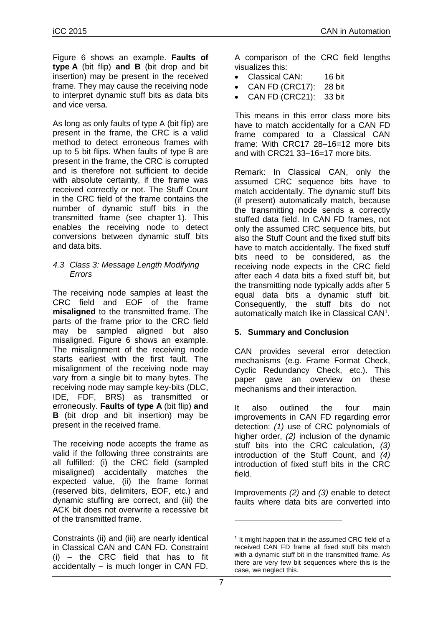[Figure 6](#page-5-1) shows an example. **Faults of type A** (bit flip) **and B** (bit drop and bit insertion) may be present in the received frame. They may cause the receiving node to interpret dynamic stuff bits as data bits and vice versa.

As long as only faults of type A (bit flip) are present in the frame, the CRC is a valid method to detect erroneous frames with up to 5 bit flips. When faults of type B are present in the frame, the CRC is corrupted and is therefore not sufficient to decide with absolute certainty, if the frame was received correctly or not. The Stuff Count in the CRC field of the frame contains the number of dynamic stuff bits in the transmitted frame (see chapter 1). This enables the receiving node to detect conversions between dynamic stuff bits and data bits.

#### *4.3 Class 3: Message Length Modifying Errors*

The receiving node samples at least the CRC field and EOF of the frame **misaligned** to the transmitted frame. The parts of the frame prior to the CRC field may be sampled aligned but also misaligned. [Figure 6](#page-5-1) shows an example. The misalignment of the receiving node starts earliest with the first fault. The misalignment of the receiving node may vary from a single bit to many bytes. The receiving node may sample key-bits (DLC, IDE, FDF, BRS) as transmitted or erroneously. **Faults of type A** (bit flip) **and B** (bit drop and bit insertion) may be present in the received frame.

The receiving node accepts the frame as valid if the following three constraints are all fulfilled: (i) the CRC field (sampled misaligned) accidentally matches the expected value, (ii) the frame format (reserved bits, delimiters, EOF, etc.) and dynamic stuffing are correct, and (iii) the ACK bit does not overwrite a recessive bit of the transmitted frame.

Constraints (ii) and (iii) are nearly identical in Classical CAN and CAN FD. Constraint (i) – the CRC field that has to fit accidentally – is much longer in CAN FD.

A comparison of the CRC field lengths visualizes this:

- Classical CAN: 16 bit
- CAN FD (CRC17): 28 bit
	- CAN FD (CRC21): 33 bit

This means in this error class more bits have to match accidentally for a CAN FD frame compared to a Classical CAN frame: With CRC17 28–16=12 more bits and with CRC21 33–16=17 more bits.

Remark: In Classical CAN, only the assumed CRC sequence bits have to match accidentally. The dynamic stuff bits (if present) automatically match, because the transmitting node sends a correctly stuffed data field. In CAN FD frames, not only the assumed CRC sequence bits, but also the Stuff Count and the fixed stuff bits have to match accidentally. The fixed stuff bits need to be considered, as the receiving node expects in the CRC field after each 4 data bits a fixed stuff bit, but the transmitting node typically adds after 5 equal data bits a dynamic stuff bit. Consequently, the stuff bits do not automatically match like in Classical CAN<sup>1</sup>.

#### **5. Summary and Conclusion**

CAN provides several error detection mechanisms (e.g. Frame Format Check, Cyclic Redundancy Check, etc.). This paper gave an overview on these mechanisms and their interaction.

It also outlined the four main improvements in CAN FD regarding error detection: *(1)* use of CRC polynomials of higher order, *(2)* inclusion of the dynamic stuff bits into the CRC calculation, *(3)* introduction of the Stuff Count, and *(4)* introduction of fixed stuff bits in the CRC field.

Improvements *(2)* and *(3)* enable to detect faults where data bits are converted into

-

<sup>&</sup>lt;sup>1</sup> It might happen that in the assumed CRC field of a received CAN FD frame all fixed stuff bits match with a dynamic stuff bit in the transmitted frame. As there are very few bit sequences where this is the case, we neglect this.